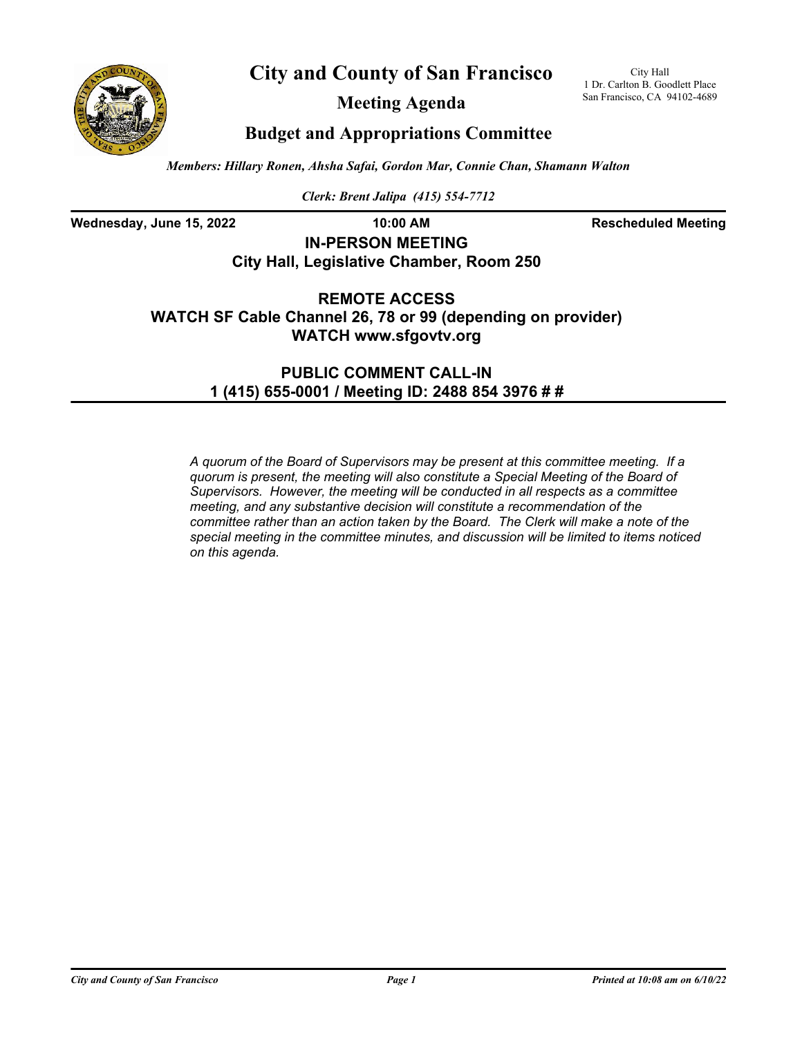



**Meeting Agenda**

City Hall 1 Dr. Carlton B. Goodlett Place San Francisco, CA 94102-4689

## **Budget and Appropriations Committee**

*Members: Hillary Ronen, Ahsha Safai, Gordon Mar, Connie Chan, Shamann Walton*

*Clerk: Brent Jalipa (415) 554-7712*

Wednesday, June 15, 2022 **10:00 AM Rescheduled Meeting** 

## **IN-PERSON MEETING City Hall, Legislative Chamber, Room 250**

**REMOTE ACCESS WATCH SF Cable Channel 26, 78 or 99 (depending on provider) WATCH www.sfgovtv.org**

> **PUBLIC COMMENT CALL-IN 1 (415) 655-0001 / Meeting ID: 2488 854 3976 # #**

*A quorum of the Board of Supervisors may be present at this committee meeting. If a quorum is present, the meeting will also constitute a Special Meeting of the Board of Supervisors. However, the meeting will be conducted in all respects as a committee meeting, and any substantive decision will constitute a recommendation of the committee rather than an action taken by the Board. The Clerk will make a note of the special meeting in the committee minutes, and discussion will be limited to items noticed on this agenda.*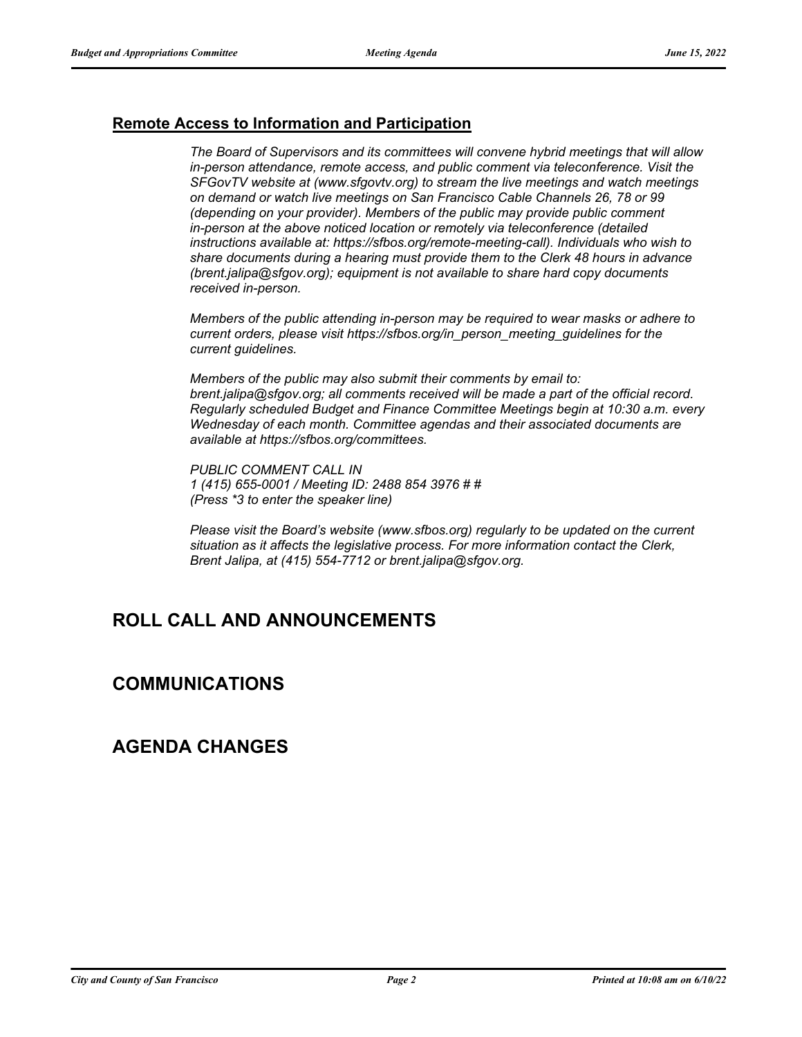## **Remote Access to Information and Participation**

*The Board of Supervisors and its committees will convene hybrid meetings that will allow in-person attendance, remote access, and public comment via teleconference. Visit the SFGovTV website at (www.sfgovtv.org) to stream the live meetings and watch meetings on demand or watch live meetings on San Francisco Cable Channels 26, 78 or 99 (depending on your provider). Members of the public may provide public comment in-person at the above noticed location or remotely via teleconference (detailed instructions available at: https://sfbos.org/remote-meeting-call). Individuals who wish to share documents during a hearing must provide them to the Clerk 48 hours in advance (brent.jalipa@sfgov.org); equipment is not available to share hard copy documents received in-person.*

*Members of the public attending in-person may be required to wear masks or adhere to current orders, please visit https://sfbos.org/in\_person\_meeting\_guidelines for the current guidelines.*

*Members of the public may also submit their comments by email to: brent.jalipa@sfgov.org; all comments received will be made a part of the official record. Regularly scheduled Budget and Finance Committee Meetings begin at 10:30 a.m. every Wednesday of each month. Committee agendas and their associated documents are available at https://sfbos.org/committees.*

*PUBLIC COMMENT CALL IN 1 (415) 655-0001 / Meeting ID: 2488 854 3976 # # (Press \*3 to enter the speaker line)*

*Please visit the Board's website (www.sfbos.org) regularly to be updated on the current situation as it affects the legislative process. For more information contact the Clerk, Brent Jalipa, at (415) 554-7712 or brent.jalipa@sfgov.org.*

# **ROLL CALL AND ANNOUNCEMENTS**

# **COMMUNICATIONS**

# **AGENDA CHANGES**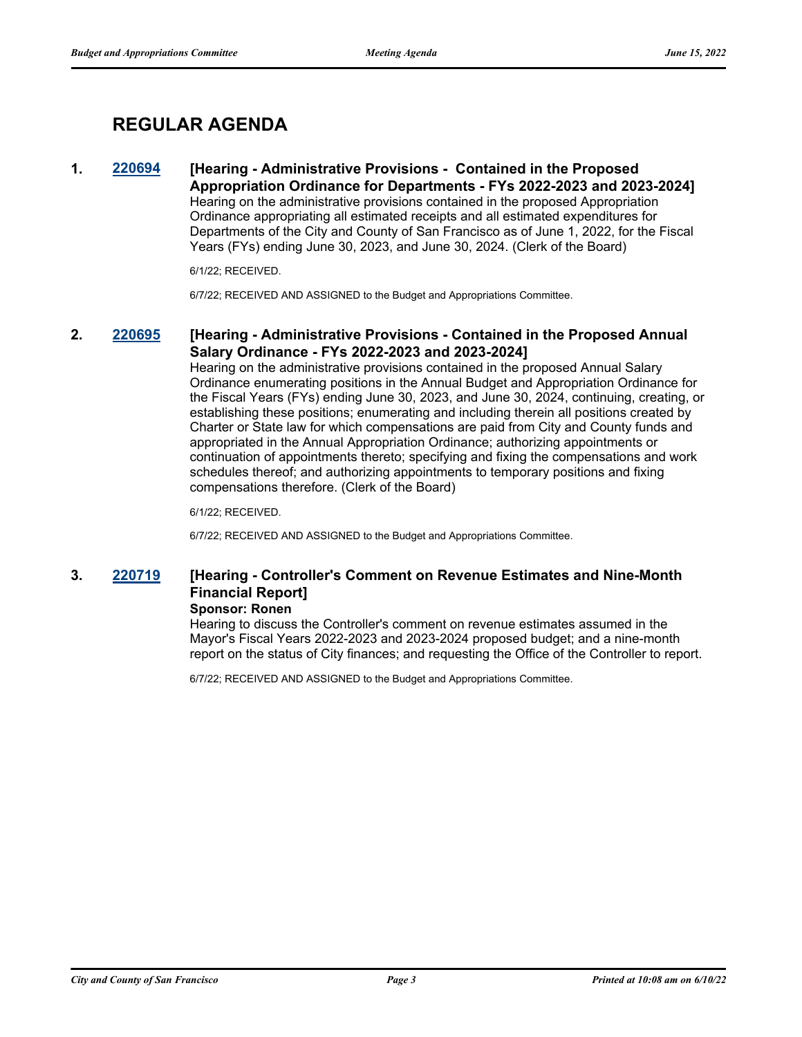# **REGULAR AGENDA**

### **1. [220694](http://sfgov.legistar.com/gateway.aspx?m=l&id=38886) [Hearing - Administrative Provisions - Contained in the Proposed Appropriation Ordinance for Departments - FYs 2022-2023 and 2023-2024]** Hearing on the administrative provisions contained in the proposed Appropriation Ordinance appropriating all estimated receipts and all estimated expenditures for Departments of the City and County of San Francisco as of June 1, 2022, for the Fiscal Years (FYs) ending June 30, 2023, and June 30, 2024. (Clerk of the Board)

6/1/22; RECEIVED.

6/7/22; RECEIVED AND ASSIGNED to the Budget and Appropriations Committee.

## **2. [220695](http://sfgov.legistar.com/gateway.aspx?m=l&id=38887) [Hearing - Administrative Provisions - Contained in the Proposed Annual Salary Ordinance - FYs 2022-2023 and 2023-2024]**

Hearing on the administrative provisions contained in the proposed Annual Salary Ordinance enumerating positions in the Annual Budget and Appropriation Ordinance for the Fiscal Years (FYs) ending June 30, 2023, and June 30, 2024, continuing, creating, or establishing these positions; enumerating and including therein all positions created by Charter or State law for which compensations are paid from City and County funds and appropriated in the Annual Appropriation Ordinance; authorizing appointments or continuation of appointments thereto; specifying and fixing the compensations and work schedules thereof; and authorizing appointments to temporary positions and fixing compensations therefore. (Clerk of the Board)

6/1/22; RECEIVED.

6/7/22; RECEIVED AND ASSIGNED to the Budget and Appropriations Committee.

## **3. [220719](http://sfgov.legistar.com/gateway.aspx?m=l&id=38911) [Hearing - Controller's Comment on Revenue Estimates and Nine-Month Financial Report]**

### **Sponsor: Ronen**

Hearing to discuss the Controller's comment on revenue estimates assumed in the Mayor's Fiscal Years 2022-2023 and 2023-2024 proposed budget; and a nine-month report on the status of City finances; and requesting the Office of the Controller to report.

6/7/22; RECEIVED AND ASSIGNED to the Budget and Appropriations Committee.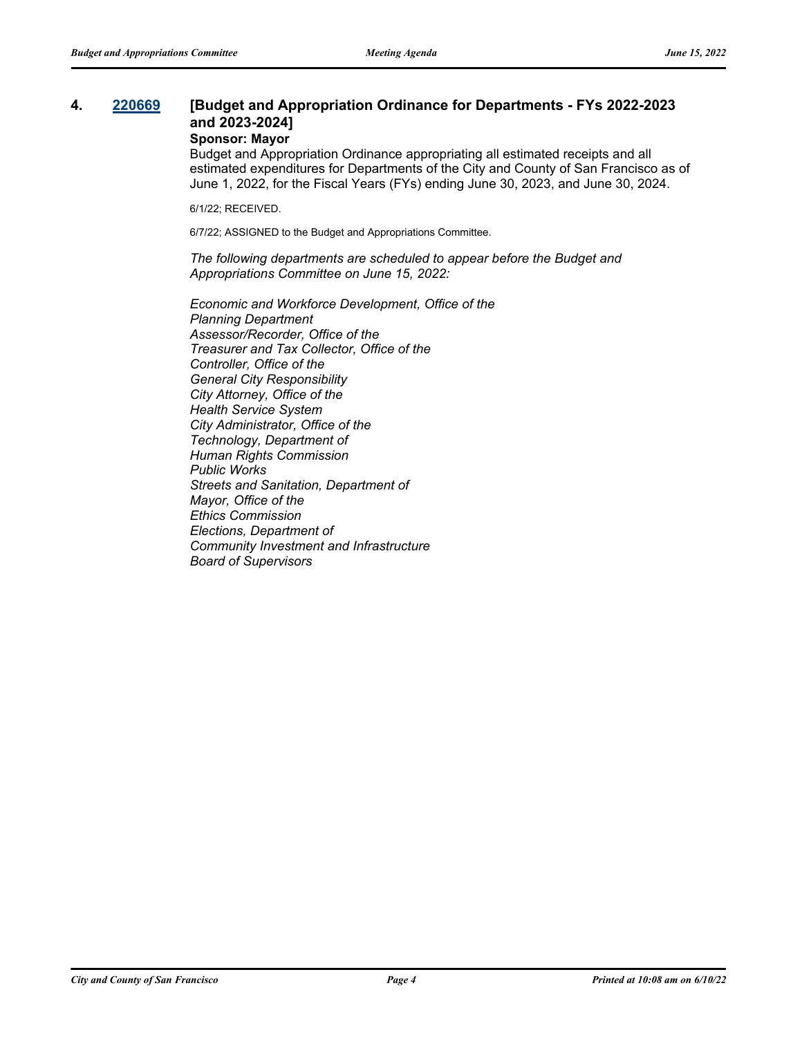## **4. [220669](http://sfgov.legistar.com/gateway.aspx?m=l&id=38861) [Budget and Appropriation Ordinance for Departments - FYs 2022-2023 and 2023-2024]**

### **Sponsor: Mayor**

Budget and Appropriation Ordinance appropriating all estimated receipts and all estimated expenditures for Departments of the City and County of San Francisco as of June 1, 2022, for the Fiscal Years (FYs) ending June 30, 2023, and June 30, 2024.

6/1/22; RECEIVED.

6/7/22; ASSIGNED to the Budget and Appropriations Committee.

*The following departments are scheduled to appear before the Budget and Appropriations Committee on June 15, 2022:*

*Economic and Workforce Development, Office of the Planning Department Assessor/Recorder, Office of the Treasurer and Tax Collector, Office of the Controller, Office of the General City Responsibility City Attorney, Office of the Health Service System City Administrator, Office of the Technology, Department of Human Rights Commission Public Works Streets and Sanitation, Department of Mayor, Office of the Ethics Commission Elections, Department of Community Investment and Infrastructure Board of Supervisors*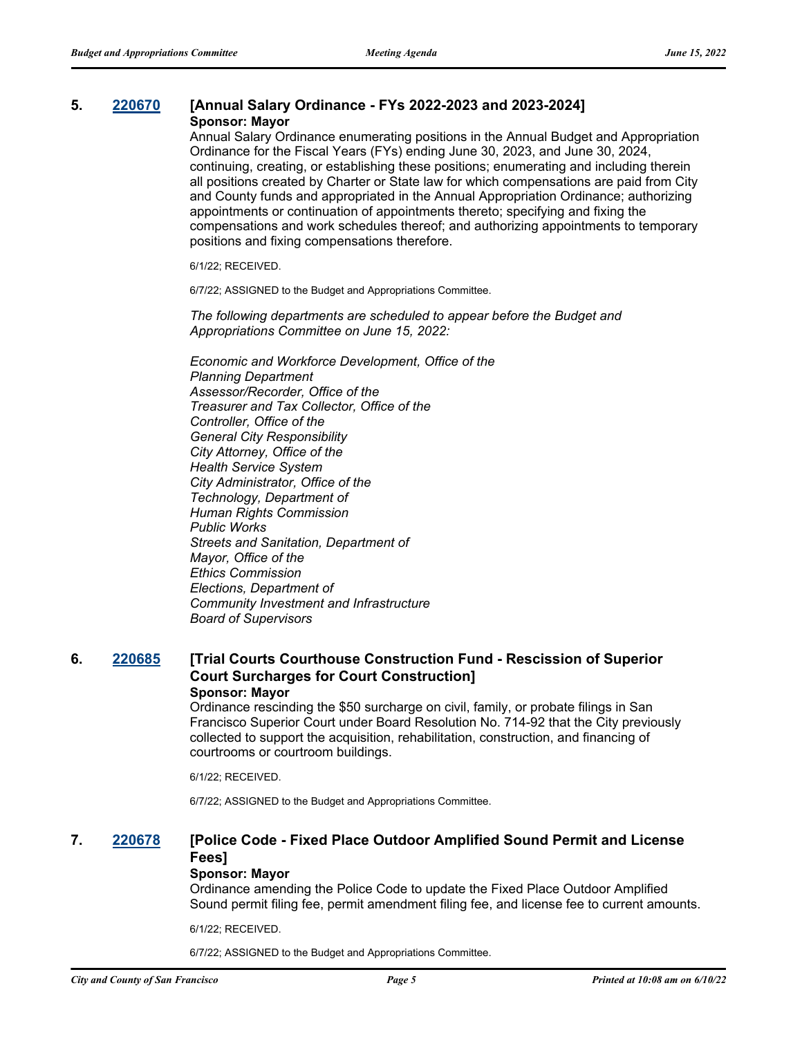#### **5. [220670](http://sfgov.legistar.com/gateway.aspx?m=l&id=38862) [Annual Salary Ordinance - FYs 2022-2023 and 2023-2024] Sponsor: Mayor**

Annual Salary Ordinance enumerating positions in the Annual Budget and Appropriation Ordinance for the Fiscal Years (FYs) ending June 30, 2023, and June 30, 2024, continuing, creating, or establishing these positions; enumerating and including therein all positions created by Charter or State law for which compensations are paid from City and County funds and appropriated in the Annual Appropriation Ordinance; authorizing appointments or continuation of appointments thereto; specifying and fixing the compensations and work schedules thereof; and authorizing appointments to temporary positions and fixing compensations therefore.

6/1/22; RECEIVED.

6/7/22; ASSIGNED to the Budget and Appropriations Committee.

*The following departments are scheduled to appear before the Budget and Appropriations Committee on June 15, 2022:*

*Economic and Workforce Development, Office of the Planning Department Assessor/Recorder, Office of the Treasurer and Tax Collector, Office of the Controller, Office of the General City Responsibility City Attorney, Office of the Health Service System City Administrator, Office of the Technology, Department of Human Rights Commission Public Works Streets and Sanitation, Department of Mayor, Office of the Ethics Commission Elections, Department of Community Investment and Infrastructure Board of Supervisors*

## **6. [220685](http://sfgov.legistar.com/gateway.aspx?m=l&id=38877) [Trial Courts Courthouse Construction Fund - Rescission of Superior Court Surcharges for Court Construction]**

### **Sponsor: Mayor**

Ordinance rescinding the \$50 surcharge on civil, family, or probate filings in San Francisco Superior Court under Board Resolution No. 714-92 that the City previously collected to support the acquisition, rehabilitation, construction, and financing of courtrooms or courtroom buildings.

6/1/22; RECEIVED.

6/7/22; ASSIGNED to the Budget and Appropriations Committee.

## **7. [220678](http://sfgov.legistar.com/gateway.aspx?m=l&id=38870) [Police Code - Fixed Place Outdoor Amplified Sound Permit and License Fees]**

### **Sponsor: Mayor**

Ordinance amending the Police Code to update the Fixed Place Outdoor Amplified Sound permit filing fee, permit amendment filing fee, and license fee to current amounts.

6/1/22; RECEIVED.

6/7/22; ASSIGNED to the Budget and Appropriations Committee.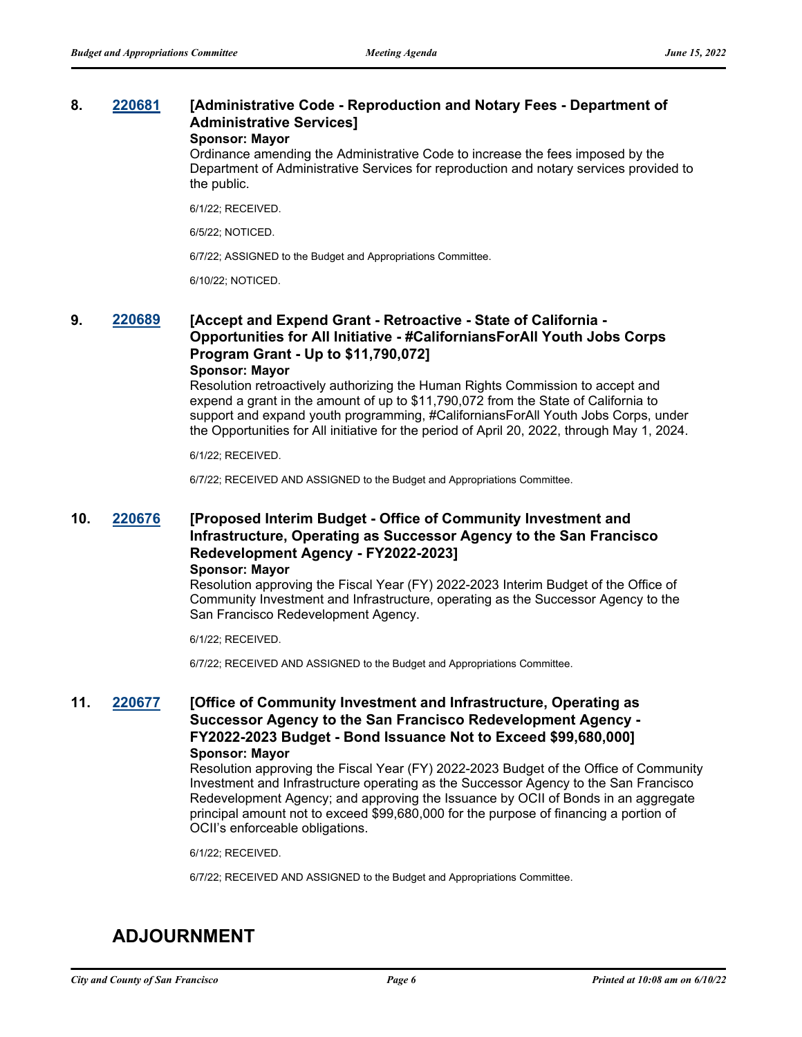## **8. [220681](http://sfgov.legistar.com/gateway.aspx?m=l&id=38873) [Administrative Code - Reproduction and Notary Fees - Department of Administrative Services]**

**Sponsor: Mayor**

Ordinance amending the Administrative Code to increase the fees imposed by the Department of Administrative Services for reproduction and notary services provided to the public.

6/1/22; RECEIVED.

6/5/22; NOTICED.

6/7/22; ASSIGNED to the Budget and Appropriations Committee.

6/10/22; NOTICED.

### **9. [220689](http://sfgov.legistar.com/gateway.aspx?m=l&id=38881) [Accept and Expend Grant - Retroactive - State of California - Opportunities for All Initiative - #CaliforniansForAll Youth Jobs Corps Program Grant - Up to \$11,790,072] Sponsor: Mayor**

Resolution retroactively authorizing the Human Rights Commission to accept and expend a grant in the amount of up to \$11,790,072 from the State of California to support and expand youth programming, #CaliforniansForAll Youth Jobs Corps, under the Opportunities for All initiative for the period of April 20, 2022, through May 1, 2024.

6/1/22; RECEIVED.

6/7/22; RECEIVED AND ASSIGNED to the Budget and Appropriations Committee.

## **10. [220676](http://sfgov.legistar.com/gateway.aspx?m=l&id=38868) [Proposed Interim Budget - Office of Community Investment and Infrastructure, Operating as Successor Agency to the San Francisco Redevelopment Agency - FY2022-2023]**

#### **Sponsor: Mayor**

Resolution approving the Fiscal Year (FY) 2022-2023 Interim Budget of the Office of Community Investment and Infrastructure, operating as the Successor Agency to the San Francisco Redevelopment Agency.

6/1/22; RECEIVED.

6/7/22; RECEIVED AND ASSIGNED to the Budget and Appropriations Committee.

## **11. [220677](http://sfgov.legistar.com/gateway.aspx?m=l&id=38869) [Office of Community Investment and Infrastructure, Operating as Successor Agency to the San Francisco Redevelopment Agency - FY2022-2023 Budget - Bond Issuance Not to Exceed \$99,680,000] Sponsor: Mayor**

Resolution approving the Fiscal Year (FY) 2022-2023 Budget of the Office of Community Investment and Infrastructure operating as the Successor Agency to the San Francisco Redevelopment Agency; and approving the Issuance by OCII of Bonds in an aggregate principal amount not to exceed \$99,680,000 for the purpose of financing a portion of OCII's enforceable obligations.

6/1/22; RECEIVED.

6/7/22; RECEIVED AND ASSIGNED to the Budget and Appropriations Committee.

# **ADJOURNMENT**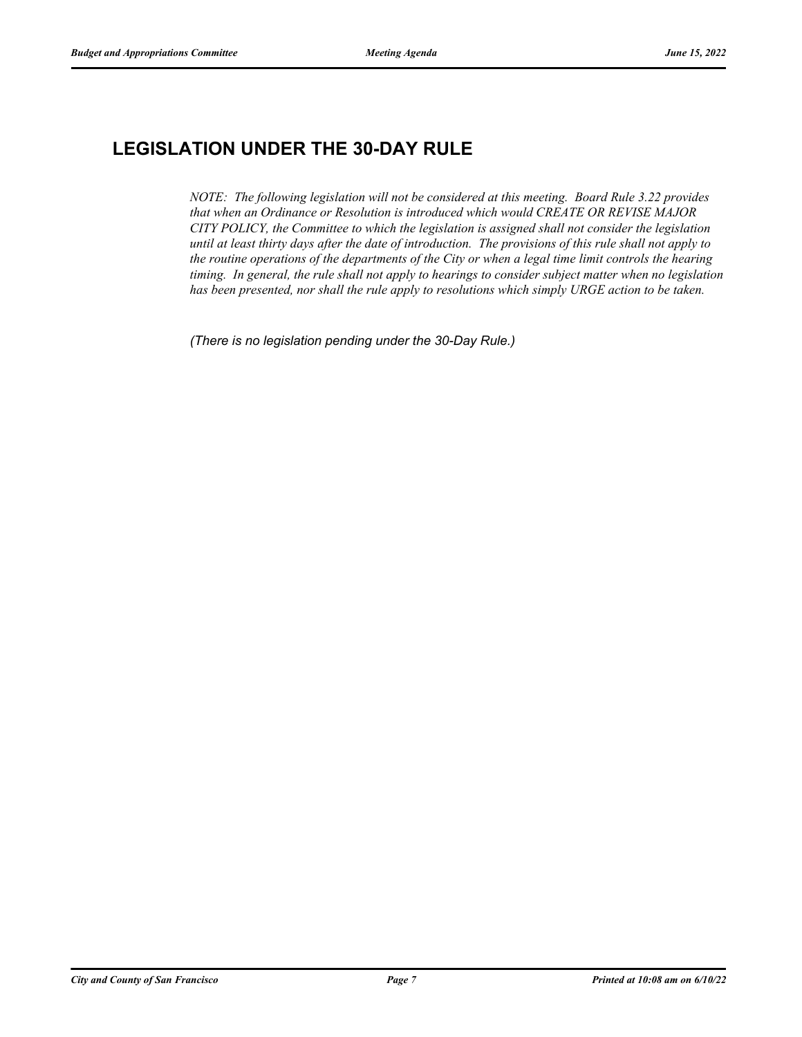# **LEGISLATION UNDER THE 30-DAY RULE**

*NOTE: The following legislation will not be considered at this meeting. Board Rule 3.22 provides that when an Ordinance or Resolution is introduced which would CREATE OR REVISE MAJOR CITY POLICY, the Committee to which the legislation is assigned shall not consider the legislation until at least thirty days after the date of introduction. The provisions of this rule shall not apply to the routine operations of the departments of the City or when a legal time limit controls the hearing timing. In general, the rule shall not apply to hearings to consider subject matter when no legislation has been presented, nor shall the rule apply to resolutions which simply URGE action to be taken.*

*(There is no legislation pending under the 30-Day Rule.)*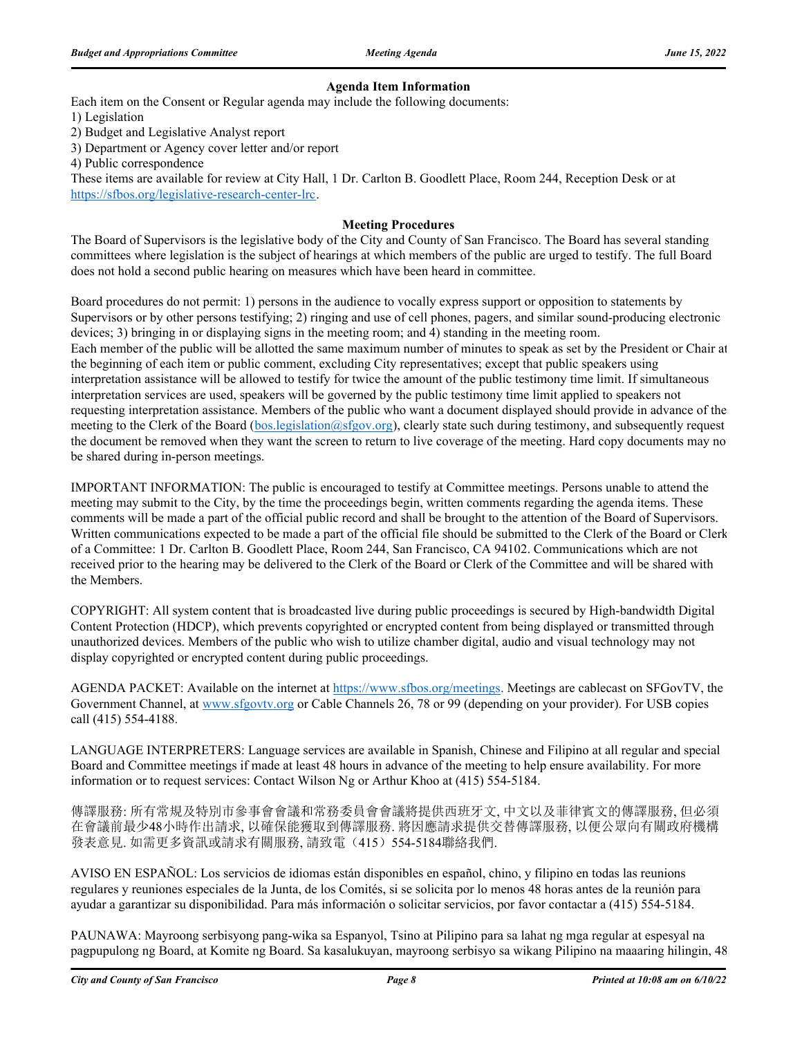### **Agenda Item Information**

Each item on the Consent or Regular agenda may include the following documents:

1) Legislation

2) Budget and Legislative Analyst report

3) Department or Agency cover letter and/or report

4) Public correspondence

These items are available for review at City Hall, 1 Dr. Carlton B. Goodlett Place, Room 244, Reception Desk or at https://sfbos.org/legislative-research-center-lrc.

### **Meeting Procedures**

The Board of Supervisors is the legislative body of the City and County of San Francisco. The Board has several standing committees where legislation is the subject of hearings at which members of the public are urged to testify. The full Board does not hold a second public hearing on measures which have been heard in committee.

Board procedures do not permit: 1) persons in the audience to vocally express support or opposition to statements by Supervisors or by other persons testifying; 2) ringing and use of cell phones, pagers, and similar sound-producing electronic devices; 3) bringing in or displaying signs in the meeting room; and 4) standing in the meeting room. Each member of the public will be allotted the same maximum number of minutes to speak as set by the President or Chair at the beginning of each item or public comment, excluding City representatives; except that public speakers using interpretation assistance will be allowed to testify for twice the amount of the public testimony time limit. If simultaneous interpretation services are used, speakers will be governed by the public testimony time limit applied to speakers not requesting interpretation assistance. Members of the public who want a document displayed should provide in advance of the meeting to the Clerk of the Board (bos.legislation@sfgov.org), clearly state such during testimony, and subsequently request the document be removed when they want the screen to return to live coverage of the meeting. Hard copy documents may no be shared during in-person meetings.

IMPORTANT INFORMATION: The public is encouraged to testify at Committee meetings. Persons unable to attend the meeting may submit to the City, by the time the proceedings begin, written comments regarding the agenda items. These comments will be made a part of the official public record and shall be brought to the attention of the Board of Supervisors. Written communications expected to be made a part of the official file should be submitted to the Clerk of the Board or Clerk of a Committee: 1 Dr. Carlton B. Goodlett Place, Room 244, San Francisco, CA 94102. Communications which are not received prior to the hearing may be delivered to the Clerk of the Board or Clerk of the Committee and will be shared with the Members.

COPYRIGHT: All system content that is broadcasted live during public proceedings is secured by High-bandwidth Digital Content Protection (HDCP), which prevents copyrighted or encrypted content from being displayed or transmitted through unauthorized devices. Members of the public who wish to utilize chamber digital, audio and visual technology may not display copyrighted or encrypted content during public proceedings.

AGENDA PACKET: Available on the internet at https://www.sfbos.org/meetings. Meetings are cablecast on SFGovTV, the Government Channel, at www.sfgovtv.org or Cable Channels 26, 78 or 99 (depending on your provider). For USB copies call (415) 554-4188.

LANGUAGE INTERPRETERS: Language services are available in Spanish, Chinese and Filipino at all regular and special Board and Committee meetings if made at least 48 hours in advance of the meeting to help ensure availability. For more information or to request services: Contact Wilson Ng or Arthur Khoo at (415) 554-5184.

傳譯服務: 所有常規及特別市參事會會議和常務委員會會議將提供西班牙文, 中文以及菲律賓文的傳譯服務, 但必須 在會議前最少48小時作出請求, 以確保能獲取到傳譯服務. 將因應請求提供交替傳譯服務, 以便公眾向有關政府機構 發表意見. 如需更多資訊或請求有關服務, 請致電(415) 554-5184聯絡我們.

AVISO EN ESPAÑOL: Los servicios de idiomas están disponibles en español, chino, y filipino en todas las reunions regulares y reuniones especiales de la Junta, de los Comités, si se solicita por lo menos 48 horas antes de la reunión para ayudar a garantizar su disponibilidad. Para más información o solicitar servicios, por favor contactar a (415) 554-5184.

PAUNAWA: Mayroong serbisyong pang-wika sa Espanyol, Tsino at Pilipino para sa lahat ng mga regular at espesyal na pagpupulong ng Board, at Komite ng Board. Sa kasalukuyan, mayroong serbisyo sa wikang Pilipino na maaaring hilingin, 48